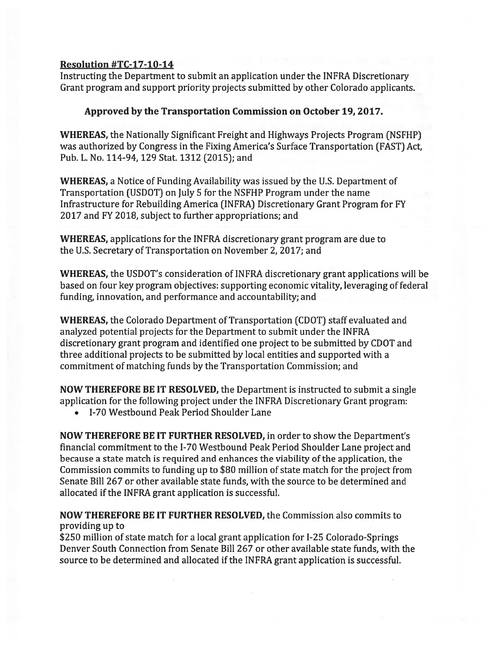## Resolution #TC-17-1O-14

Instructing the Department to submit an application under the INFRA Discretionary Grant program and suppor<sup>t</sup> priority projects submitted by other Colorado applicants.

## Approved by the Transportation Commission on October 19, 2017.

WHEREAS, the Nationally Significant Freight and Highways Projects Program (NSFHP) was authorized by Congress in the Fixing America's Surface Transportation (FAST) Act, Pub. L. No. 114-94, 129 Stat. 1312 (2015); and

WHEREAS, <sup>a</sup> Notice of Funding Availability was issued by the U.S. Department of Transportation (USDOT) on July 5 for the NSFHP Program under the name Infrastructure for Rebuilding America (INFRA) Discretionary Grant Program for FY 2017 and FY 2018, subject to further appropriations; and

WHEREAS, applications for the INFRA discretionary grant program are due to the U.S. Secretary of Transportation on November 2, 2017; and

WHEREAS, the USDOT's consideration of INFRA discretionary gran<sup>t</sup> applications will be based on four key program objectives: supporting economic vitality, leveraging of federal funding, innovation, and performance and accountability; and

WHEREAS, the Colorado Department of Transportation (CDOT) staff evaluated and analyzed potential projects for the Department to submit under the INFRA discretionary gran<sup>t</sup> program and identified one project to be submitted by CDOT and three additional projects to be submitted by local entities and supported with <sup>a</sup> commitment of matching funds by the Transportation Commission; and

NOW THEREFORE BE IT RESOLVED, the Department is instructed to submit <sup>a</sup> single application for the following project under the INFRA Discretionary Grant program:

• 1-70 Westbound Peak Period Shoulder Lane

NOW THEREFORE BE IT FURTHER RESOLVED, in order to show the Department's financial commitment to the 1-70 Westbound Peak Period Shoulder Lane project and because <sup>a</sup> state match is required and enhances the viability of the application, the Commission commits to funding up to \$80 million of state match for the project from Senate Bill 267 or other available state funds, with the source to be determined and allocated if the INFRA gran<sup>t</sup> application is successful.

## NOW THEREFORE BE IT FURTHER RESOLVED, the Commission also commits to providing up to

\$250 million of state match for a local grant application for I-25 Colorado-Springs Denver South Connection from Senate Bill 267 or other available state funds, with the source to be determined and allocated if the INFRA gran<sup>t</sup> application is successful.